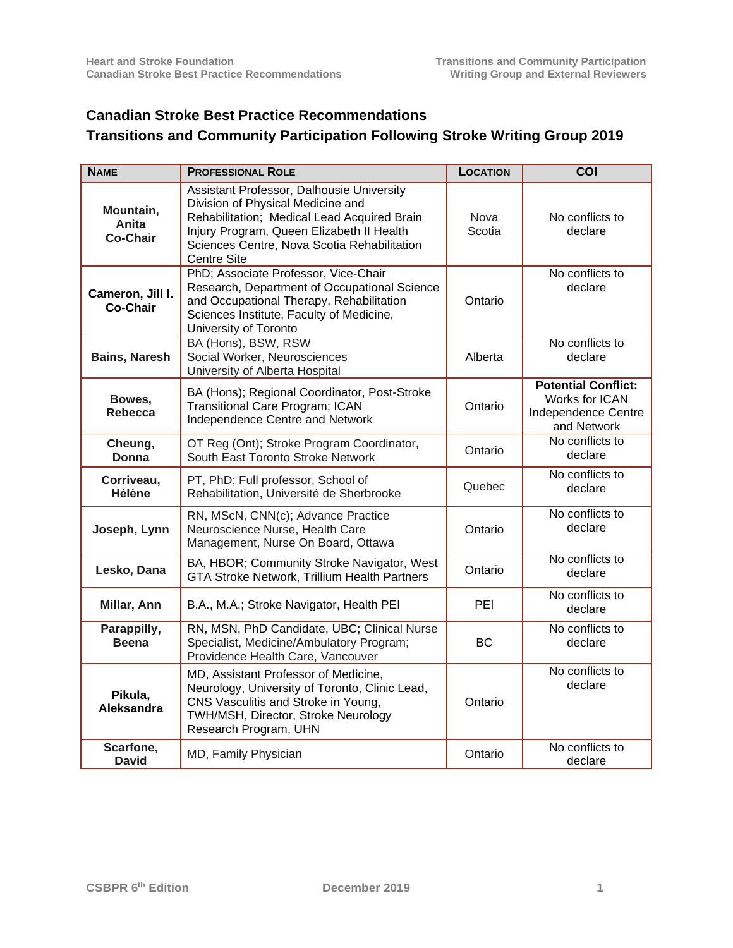## **Canadian Stroke Best Practice Recommendations**

## **Transitions and Community Participation Following Stroke Writing Group 2019**

| <b>NAME</b>                           | <b>PROFESSIONAL ROLE</b>                                                                                                                                                                                                                        | <b>LOCATION</b> | COI                                                                                |
|---------------------------------------|-------------------------------------------------------------------------------------------------------------------------------------------------------------------------------------------------------------------------------------------------|-----------------|------------------------------------------------------------------------------------|
| Mountain,<br>Anita<br><b>Co-Chair</b> | Assistant Professor, Dalhousie University<br>Division of Physical Medicine and<br>Rehabilitation; Medical Lead Acquired Brain<br>Injury Program, Queen Elizabeth II Health<br>Sciences Centre, Nova Scotia Rehabilitation<br><b>Centre Site</b> | Nova<br>Scotia  | No conflicts to<br>declare                                                         |
| Cameron, Jill I.<br><b>Co-Chair</b>   | PhD; Associate Professor, Vice-Chair<br>Research, Department of Occupational Science<br>and Occupational Therapy, Rehabilitation<br>Sciences Institute, Faculty of Medicine,<br>University of Toronto                                           | Ontario         | No conflicts to<br>declare                                                         |
| <b>Bains, Naresh</b>                  | BA (Hons), BSW, RSW<br>Social Worker, Neurosciences<br>University of Alberta Hospital                                                                                                                                                           | Alberta         | No conflicts to<br>declare                                                         |
| Bowes,<br>Rebecca                     | BA (Hons); Regional Coordinator, Post-Stroke<br><b>Transitional Care Program; ICAN</b><br>Independence Centre and Network                                                                                                                       | Ontario         | <b>Potential Conflict:</b><br>Works for ICAN<br>Independence Centre<br>and Network |
| Cheung,<br>Donna                      | OT Reg (Ont); Stroke Program Coordinator,<br>South East Toronto Stroke Network                                                                                                                                                                  | Ontario         | No conflicts to<br>declare                                                         |
| Corriveau,<br>Hélène                  | PT, PhD; Full professor, School of<br>Rehabilitation, Université de Sherbrooke                                                                                                                                                                  | Quebec          | No conflicts to<br>declare                                                         |
| Joseph, Lynn                          | RN, MScN, CNN(c); Advance Practice<br>Neuroscience Nurse, Health Care<br>Management, Nurse On Board, Ottawa                                                                                                                                     | Ontario         | No conflicts to<br>declare                                                         |
| Lesko, Dana                           | BA, HBOR; Community Stroke Navigator, West<br>GTA Stroke Network, Trillium Health Partners                                                                                                                                                      | Ontario         | No conflicts to<br>declare                                                         |
| Millar, Ann                           | B.A., M.A.; Stroke Navigator, Health PEI                                                                                                                                                                                                        | PEI             | No conflicts to<br>declare                                                         |
| Parappilly,<br><b>Beena</b>           | RN, MSN, PhD Candidate, UBC; Clinical Nurse<br>Specialist, Medicine/Ambulatory Program;<br>Providence Health Care, Vancouver                                                                                                                    | BC.             | No conflicts to<br>declare                                                         |
| Pikula,<br>Aleksandra                 | MD, Assistant Professor of Medicine,<br>Neurology, University of Toronto, Clinic Lead,<br>CNS Vasculitis and Stroke in Young,<br>TWH/MSH, Director, Stroke Neurology<br>Research Program, UHN                                                   | Ontario         | No conflicts to<br>declare                                                         |
| Scarfone,<br><b>David</b>             | MD, Family Physician                                                                                                                                                                                                                            | Ontario         | No conflicts to<br>declare                                                         |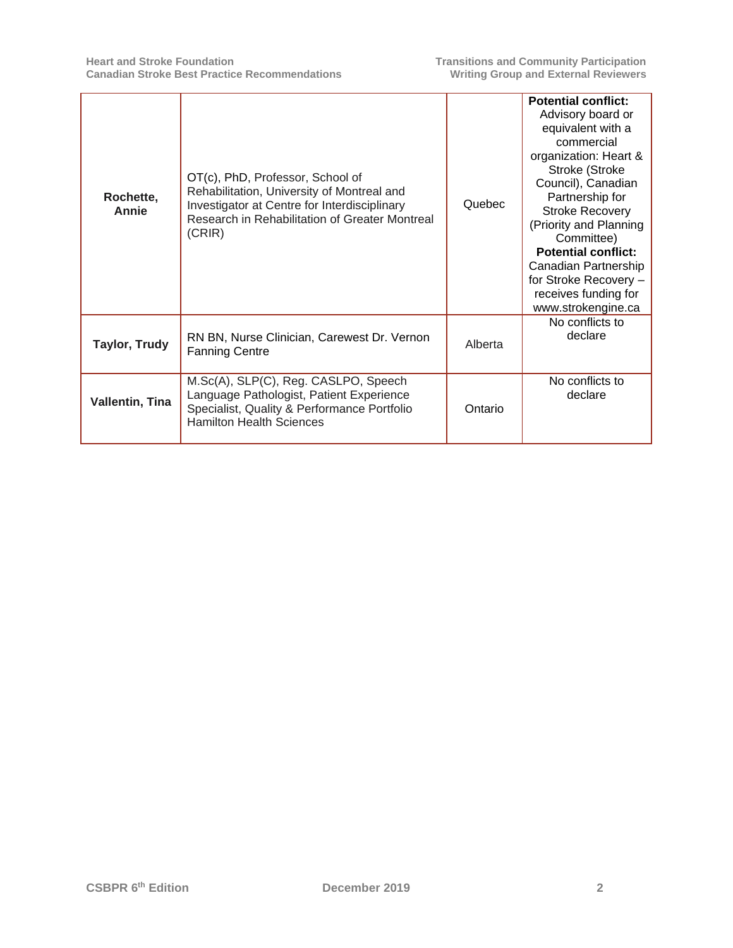| Rochette,<br>Annie     | OT(c), PhD, Professor, School of<br>Rehabilitation, University of Montreal and<br>Investigator at Centre for Interdisciplinary<br>Research in Rehabilitation of Greater Montreal<br>(CRIR) | Quebec  | <b>Potential conflict:</b><br>Advisory board or<br>equivalent with a<br>commercial<br>organization: Heart &<br>Stroke (Stroke<br>Council), Canadian<br>Partnership for<br><b>Stroke Recovery</b><br>(Priority and Planning<br>Committee)<br><b>Potential conflict:</b><br>Canadian Partnership<br>for Stroke Recovery -<br>receives funding for<br>www.strokengine.ca |
|------------------------|--------------------------------------------------------------------------------------------------------------------------------------------------------------------------------------------|---------|-----------------------------------------------------------------------------------------------------------------------------------------------------------------------------------------------------------------------------------------------------------------------------------------------------------------------------------------------------------------------|
| <b>Taylor, Trudy</b>   | RN BN, Nurse Clinician, Carewest Dr. Vernon<br><b>Fanning Centre</b>                                                                                                                       | Alberta | No conflicts to<br>declare                                                                                                                                                                                                                                                                                                                                            |
| <b>Vallentin, Tina</b> | M.Sc(A), SLP(C), Reg. CASLPO, Speech<br>Language Pathologist, Patient Experience<br>Specialist, Quality & Performance Portfolio<br><b>Hamilton Health Sciences</b>                         | Ontario | No conflicts to<br>declare                                                                                                                                                                                                                                                                                                                                            |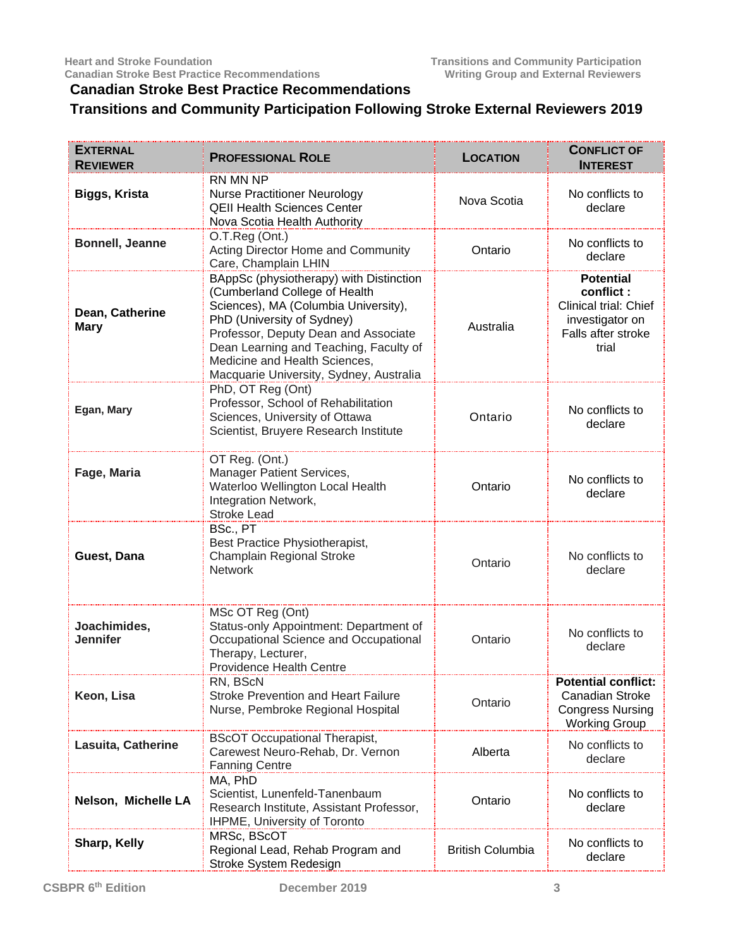## **Canadian Stroke Best Practice Recommendations**

## **Transitions and Community Participation Following Stroke External Reviewers 2019**

| <b>EXTERNAL</b><br><b>REVIEWER</b> | <b>PROFESSIONAL ROLE</b>                                                                                                                                                                                                                                                                                     | <b>LOCATION</b>         | <b>CONFLICT OF</b><br><b>INTEREST</b>                                                                           |
|------------------------------------|--------------------------------------------------------------------------------------------------------------------------------------------------------------------------------------------------------------------------------------------------------------------------------------------------------------|-------------------------|-----------------------------------------------------------------------------------------------------------------|
| Biggs, Krista                      | RN MN NP<br><b>Nurse Practitioner Neurology</b><br><b>QEII Health Sciences Center</b><br>Nova Scotia Health Authority                                                                                                                                                                                        | Nova Scotia             | No conflicts to<br>declare                                                                                      |
| Bonnell, Jeanne                    | O.T.Reg (Ont.)<br>Acting Director Home and Community<br>Care, Champlain LHIN                                                                                                                                                                                                                                 | Ontario                 | No conflicts to<br>declare                                                                                      |
| Dean, Catherine<br><b>Mary</b>     | BAppSc (physiotherapy) with Distinction<br>(Cumberland College of Health<br>Sciences), MA (Columbia University),<br>PhD (University of Sydney)<br>Professor, Deputy Dean and Associate<br>Dean Learning and Teaching, Faculty of<br>Medicine and Health Sciences,<br>Macquarie University, Sydney, Australia | Australia               | <b>Potential</b><br>conflict:<br><b>Clinical trial: Chief</b><br>investigator on<br>Falls after stroke<br>trial |
| Egan, Mary                         | PhD, OT Reg (Ont)<br>Professor, School of Rehabilitation<br>Sciences, University of Ottawa<br>Scientist, Bruyere Research Institute                                                                                                                                                                          | Ontario                 | No conflicts to<br>declare                                                                                      |
| Fage, Maria                        | OT Reg. (Ont.)<br>Manager Patient Services,<br>Waterloo Wellington Local Health<br>Integration Network,<br><b>Stroke Lead</b>                                                                                                                                                                                | Ontario                 | No conflicts to<br>declare                                                                                      |
| Guest, Dana                        | BSc., PT<br>Best Practice Physiotherapist,<br>Champlain Regional Stroke<br><b>Network</b>                                                                                                                                                                                                                    | Ontario                 | No conflicts to<br>declare                                                                                      |
| Joachimides,<br><b>Jennifer</b>    | MSc OT Reg (Ont)<br>Status-only Appointment: Department of<br>Occupational Science and Occupational<br>Therapy, Lecturer,<br><b>Providence Health Centre</b>                                                                                                                                                 | Ontario                 | No conflicts to<br>declare                                                                                      |
| Keon, Lisa                         | RN, BScN<br><b>Stroke Prevention and Heart Failure</b><br>Nurse, Pembroke Regional Hospital                                                                                                                                                                                                                  | Ontario                 | <b>Potential conflict:</b><br><b>Canadian Stroke</b><br><b>Congress Nursing</b><br><b>Working Group</b>         |
| Lasuita, Catherine                 | <b>BScOT Occupational Therapist,</b><br>Carewest Neuro-Rehab, Dr. Vernon<br><b>Fanning Centre</b>                                                                                                                                                                                                            | Alberta                 | No conflicts to<br>declare                                                                                      |
| Nelson, Michelle LA                | MA, PhD<br>Scientist, Lunenfeld-Tanenbaum<br>Research Institute, Assistant Professor,<br>IHPME, University of Toronto                                                                                                                                                                                        | Ontario                 | No conflicts to<br>declare                                                                                      |
| Sharp, Kelly                       | MRSc, BScOT<br>Regional Lead, Rehab Program and<br>Stroke System Redesign                                                                                                                                                                                                                                    | <b>British Columbia</b> | No conflicts to<br>declare                                                                                      |